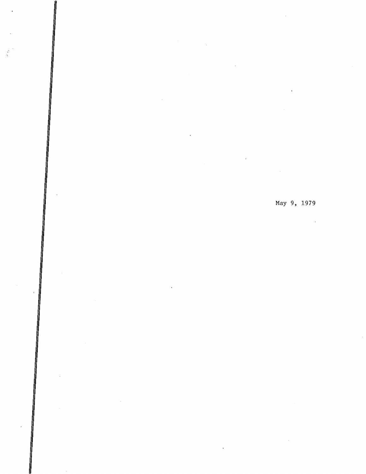May 9, 1979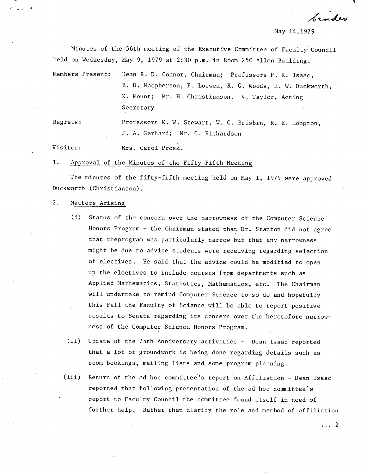May 14,1979

franker

Minutes of the 56th meeting of the Executive Committee of Faculty Council held on Wednesday, May 9, 1979 at 2:30 p.m. in Room 250 Allen Building.

Members Present: Dean R. D. Connor, Chairman; Professors P. K. Isaac, B. D. Macpherson, P. Loewen, R. C. Woods, H. W. Duckworth, K. Mount; Mr. H. Christianson. V. Taylor, Acting Secretary

Regrets: Professors K. W. Stewart, W. C. Brisbin, R. E. Longton, J. A. Gerhard; Mr. C. Richardson

Visitor: Mrs. Carol Prosk.

 $1.$ Approval of the Minutes of the Fifty-Fifth Meeting

The minutes of the fifty-fifth meeting held on May 1, 1979 were approved Duckworth (Christianson).

#### $2.$ Matters Arising

- (i) Status of the concern over the narrowness of the Computer Science Honors Program - the Chairman stated that Dr. Stanton did not agree that theprogram was particularly narrow but that any narrowness might be due to advice students were receiving regarding selection of electives. He said that the advice could be modified to open up the electives to include courses from departments such as Applied Mathematics, Statistics, Mathematics, etc. The Chairman will undertake to remind Computer Science to so do and hopefully this Fall the Faculty of Science will be able to report positive results to Senate regarding its concern over the heretofore narrowness of the Computer Science Honors Program.
- $(ii)$ Update of the 75th Anniversary activities - Dean Isaac reported that a lot of groundwork is being done regarding details such as room bookings, mailing lists and some program planning.
- $(iii)$ Return of the ad hoc committee's report on Affiliation - Dean Isaac reported that following presentation of the ad hoc committee's report to Faculty Council the committee found itself in need of further help. Rather than clarify the role and method of affiliation

 $\ldots$  2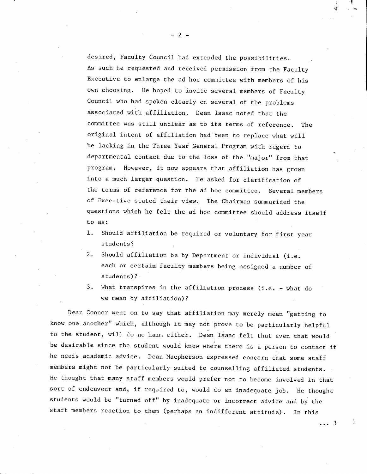desired, Faculty Council had extended the possibilities. As such he requested and received permission from the Faculty Executive to enlarge the ad hoc committee with members of his own choosing. He hoped to Invite several members of Faculty Council who had spoken clearly on several of the problems associated with affiliation. Dean Isaac noted that the committee was still unclear as to its terms of reference. The original intent of affiliation had been to replace what will be lacking in the Three Year General Program with regard to departmental contact due to the loss of the "major" from that program. However, it now appears that affiliation has grown into a much larger question. He asked for clarification of the terms of reference for the ad hoc committee. Several members of Executive stated their view. The Chairman summarized the questions which he felt the ad hoc committee should address itself to as:

- $1.$ Should affiliation be required or voluntary for first year students?
- $2.$ Should affiliation be by Department or individual (i.e. each or certain faculty members being assigned a number of students)?
- $3.$ What transpires in the affiliation process (i.e. - what do we mean by affiliation)?

Dean Connor went on to say that affiliation may merely mean "getting to know one another" which, although it may not prove to be particularly helpful to the student, will do no harm either. Dean Isaac felt that even that would be desirable since the student would know where there is a person to contact if he needs academic advice. Dean Macpherson expressed concern that some staff members might not be particularly suited to counselling affiliated students. He thought that many staff members would prefer not to become involved in that sort of endeavour and, if required to, would do an inadequate job. He thought students would be "turned off" by inadequate or incorrect advice and by the staff members reaction to them (perhaps an indifferent attitude). In this

...3

I

 $-2-$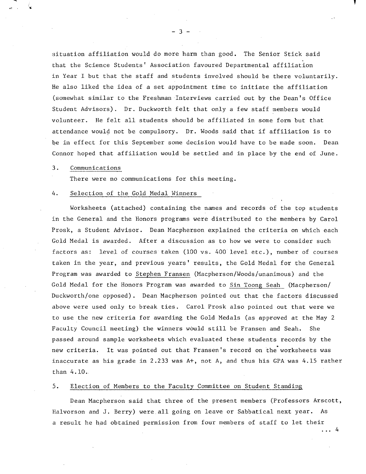situation affiliation would do more harm than good. The Senior Stick said that the Science Students' Association favoured Departmental affiliation in Year I but that the staff and students involved should be there voluntarily. He also liked the idea of a set appointment time to initiate the affiliation (somewhat similar to the Freshman Interviews carried out by the Dean's Office Student Advisors). Dr. Duckworth felt that only a few staff members would volunteer. He felt all students should be affiliated in some form but that attendance would not be compulsory. Dr. Woods said that if affiliation is to be in effect for this September some decision would have to be made soon. Dean Connor hoped that affiliation would be settled and in place by the end of June.

#### $3.$ Communications

There were no communications for this meeting.

#### 4. Selection of the Gold Medal Winners

Worksheets (attached) containing the names and records of the top students in the General and the Honors programs were distributed to the members by Carol Prosk, a Student Advisor. Dean Macpherson explained the criteria on which each Gold Medal is awarded. After a discussion as to how we were to consider such factors as: level of courses taken (100 vs. 400 level etc.), number of courses taken in the year, and previous years' results, the Gold Medal for the General Program was awarded to Stephen Fransen (Macpherson/Woods/unanimous) and the Gold Medal for the Honors Program was awarded to Sin Toong Seah (Macpherson/ Duckworth/one opposed). Dean Macpherson pointed out that the factors discussed above were used only to break ties. Carol Prosk also pointed out that were we to use the new criteria for awarding the Gold Medals (as approved at the May 2 Faculty Council meeting) the winners would still be Fransen and Seah. She passed around sample worksheets which evaluated these students records by the new criteria. It was pointed out that Fransen's record on the worksheets was inaccurate as his grade in 2.233 was A+, not A, and thus his GPA was 4.15 rather than 4.10..

#### $5.$ Election of Members to the Faculty Committee on Student Standing

Dean Macpherson said that three of the present members (Professors Arscott, Halvorson and J. Berry) were.all going on leave or Sabbatical next year. As a result he had obtained permission from four members of staff to let their

 $\ldots$  4

-3-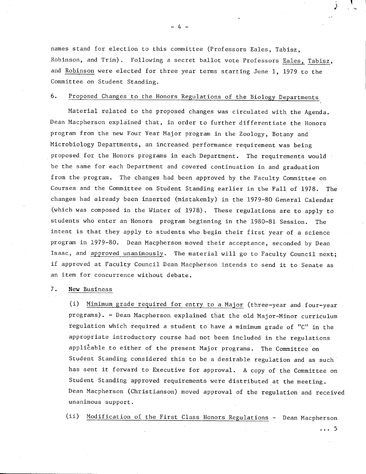names stand for election to this committee (Professors Bales, Tabisz, Robinson, and Trim). Following a secret ballot vote Professors Eales, Tabisz, and Robinson were elected for three year terms starting June 1, 1979 to the Committee on Student Standing.

#### $6.$ Proposed Changes to the Honors Regulations of the Biology Departments

Material related to the proposed changes was circulated with the Agenda. Dean Macpherson explained that, in order to further differentiate the Honors program from the new Four Year Major program in the Zoology, Botany and Microbiology Departments, an increased performance requirement was being proposed for the Honors programs in each Department. The requirements would be the same for each Department and covered continuation in and graduation from the program. The changes had been approved by the Faculty Committee on Courses and the Committee on Student Standing earlier in the Fall of 1978. The changes had already been inserted (mistakenly) in the 1979-80 General Calendar (which was composed in the Winter of 1978). These regulations are to apply to students who enter an Honors program beginning in the 1980-81 Session. The intent is that they apply to students who begin their first year of a science program in 1979-80. Dean Macpherson moved their acceptance, seconded by Dean Isaac, and approved unanimously. The material will go to Faculty Council next; if approved at Faculty Council Dean Macpherson intends to send it to Senate as an item for concurrence without debate.

#### $7.$ New Business

Minimum grade required for entry to a Major (three-year and four-year programs). - Dean Macpherson explained that the old Major-Minor curriculum regulation which required a student to have a minimum grade of "C" in the appropriate introductory course had not been included in the regulations applicable to either of the present Major programs. The Committee on Student Standing considered this to be a desirable regulation and as such has sent it forward to Executive for approval. A copy of the Committee on Student Standing approved requirements were distributed at the meeting. Dean Macpherson (Christianson) moved approval of the regulation and received unanimous support.

Modification of the First Class Honors Regulations - Dean Macpherson

 $\ldots$  5

-4-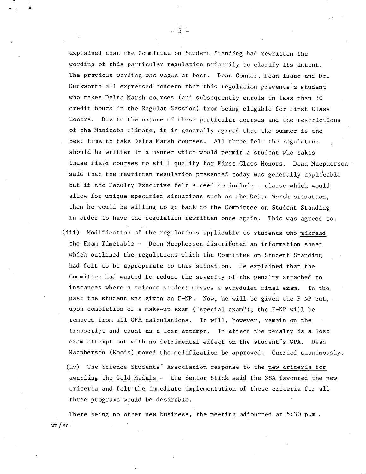explained that the Committee on Student Standing had rewritten the wording of this particular regulation primarily to clarify its intent. The previous wording was vague at best. Dean Connor, Dean Isaac and Dr. Duckworth all expressed concern that this regulation prevents a student who takes Delta Marsh courses (and subsequently enrols in less than 30 credit hours in the Regular Session) from being eligible for First Class Honors. Due to the nature of these particular courses and the restrictions of the Manitoba climate, it is generally agreed that the summer is the best time to take Delta Marsh courses. All three felt the regulation should be written in a manner which would permit a student who takes these field courses to still qualify for First Class Honors. Dean Macpherson said that the rewritten regulation presented today was generally applicable but if the Faculty Executive felt a need to include a clause which would allow for unique specified situations such as the Delta Marsh situation, then he would be willing to go back to the Committee on Student Standing in order to have the regulation rewritten once again. This was agreed to.

- Modification of the regulations applicable to students who misread  $(iii)$ the Exam Timetable - Dean Macpherson distributed an information sheet which outlined the regulations which the Committee on Student Standing had felt to be appropriate to this situation. He explained that the Committee had wanted to reduce the severity of the penalty attached to instances where a science student misses a scheduled final exam. In the past the student was given an F-NP. Now, he will be given the F-NP but, upon completion of a make-up exam ("special exam"), the F-NP will be removed from all GPA calculations. It will, however, remain on the transcript and count as a lost attempt. In effect the penalty is a lost exam attempt but with no detrimental effect on the student's GPA. Dean Macpherson (Woods) moved the modification be approved. Carried unanimously.
	- (iv) The Science Students' Association response to the new criteria for awarding the Gold Medals - the Senior Stick said the SSA favoured the new criteria and felt the immediate implementation of these criteria for all three programs would be desirable.

There being no other new business, the meeting adjourned at  $5:30$  p.m. vt/sc

 $-5-$ 

**3**